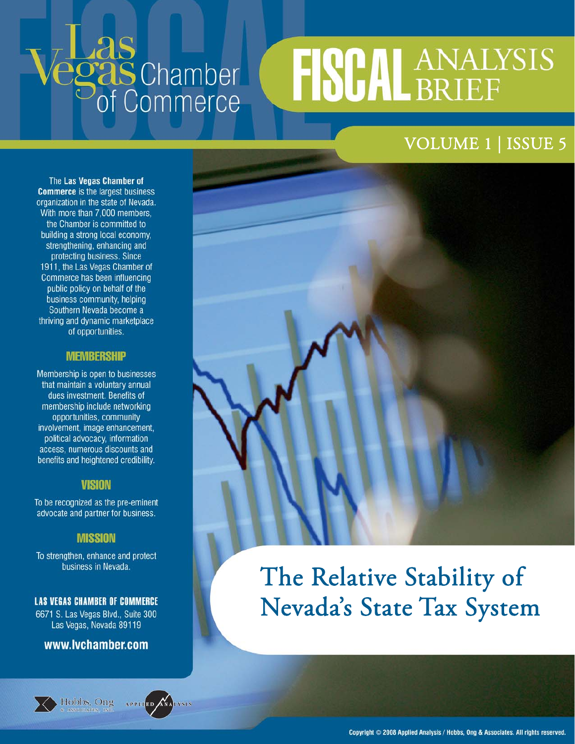# **Las**<br>**egas** Chamber<br>of Commerce

# **FISCAL ANALYSIS**

# VOLUME 1 | ISSUE 5

The Las Vegas Chamber of **Commerce** is the largest business organization in the state of Nevada. With more than 7,000 members, the Chamber is committed to building a strong local economy, strengthening, enhancing and protecting business. Since 1911, the Las Vegas Chamber of Commerce has been influencing public policy on behalf of the business community, helping Southern Nevada become a thriving and dynamic marketplace of opportunities.

#### **NIEMBERSHIP**

Membership is open to businesses that maintain a voluntary annual dues investment. Benefits of membership include networking opportunities, community involvement, image enhancement, political advocacy, information access, numerous discounts and benefits and heightened credibility.

#### **VISION**

To be recognized as the pre-eminent advocate and partner for business.

#### **MISSION**

To strengthen, enhance and protect business in Nevada.

#### **LAS VEGAS CHAMBER OF COMMERCE**

6671 S. Las Vegas Blvd., Suite 300 Las Vegas, Nevada 89119

#### www.lvchamber.com







# The Relative Stability of Nevada's State Tax System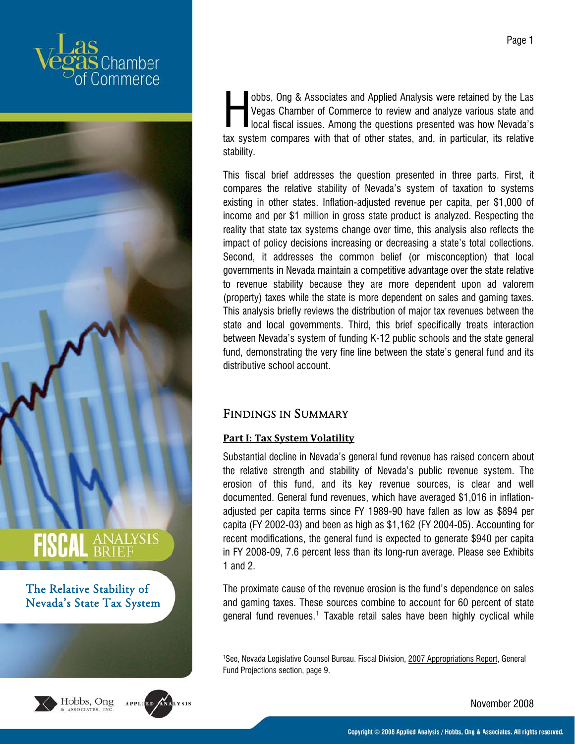



<span id="page-1-0"></span>



1

obbs, Ong & Associates and Applied Analysis were retained by the Las Vegas Chamber of Commerce to review and analyze various state and **I** local fiscal issues. Among the questions presented was how Nevada's tax system compares with that of other states, and, in particular, its relative stability. H

This fiscal brief addresses the question presented in three parts. First, it compares the relative stability of Nevada's system of taxation to systems existing in other states. Inflation-adjusted revenue per capita, per \$1,000 of income and per \$1 million in gross state product is analyzed. Respecting the reality that state tax systems change over time, this analysis also reflects the impact of policy decisions increasing or decreasing a state's total collections. Second, it addresses the common belief (or misconception) that local governments in Nevada maintain a competitive advantage over the state relative to revenue stability because they are more dependent upon ad valorem (property) taxes while the state is more dependent on sales and gaming taxes. This analysis briefly reviews the distribution of major tax revenues between the state and local governments. Third, this brief specifically treats interaction between Nevada's system of funding K-12 public schools and the state general fund, demonstrating the very fine line between the state's general fund and its distributive school account.

#### FINDINGS IN SUMMARY

#### **Part I: Tax System Volatility**

Substantial decline in Nevada's general fund revenue has raised concern about the relative strength and stability of Nevada's public revenue system. The erosion of this fund, and its key revenue sources, is clear and well documented. General fund revenues, which have averaged \$1,016 in inflationadjusted per capita terms since FY 1989-90 have fallen as low as \$894 per capita (FY 2002-03) and been as high as \$1,162 (FY 2004-05). Accounting for recent modifications, the general fund is expected to generate \$940 per capita in FY 2008-09, 7.6 percent less than its long-run average. Please see Exhibits 1 and 2.

The proximate cause of the revenue erosion is the fund's dependence on sales and gaming taxes. These sources combine to account for 60 percent of state general fund revenues.<sup>[1](#page-1-0)</sup> Taxable retail sales have been highly cyclical while

Page 1

<sup>&</sup>lt;sup>1</sup>See, Nevada Legislative Counsel Bureau. Fiscal Division, 2007 Appropriations Report, General Fund Projections section, page 9.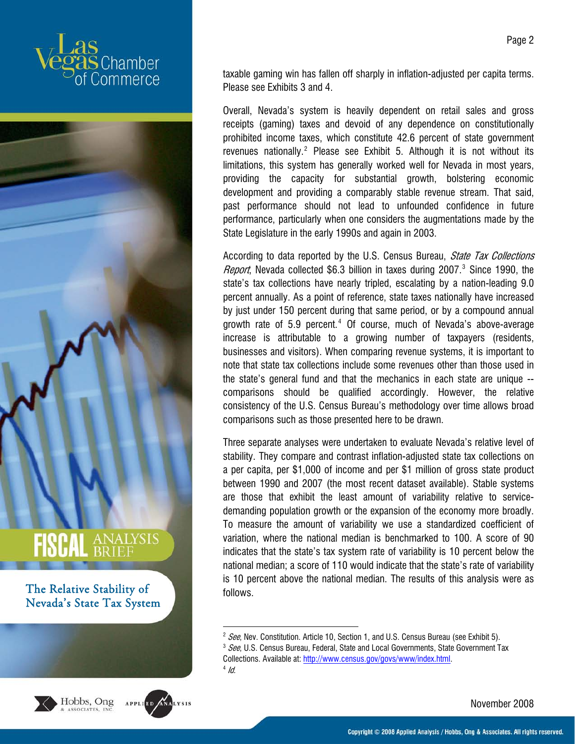



<span id="page-2-2"></span><span id="page-2-1"></span><span id="page-2-0"></span>



taxable gaming win has fallen off sharply in inflation-adjusted per capita terms. Please see Exhibits 3 and 4.

Overall, Nevada's system is heavily dependent on retail sales and gross receipts (gaming) taxes and devoid of any dependence on constitutionally prohibited income taxes, which constitute 42.6 percent of state government revenues nationally. $2$  Please see Exhibit 5. Although it is not without its limitations, this system has generally worked well for Nevada in most years, providing the capacity for substantial growth, bolstering economic development and providing a comparably stable revenue stream. That said, past performance should not lead to unfounded confidence in future performance, particularly when one considers the augmentations made by the State Legislature in the early 1990s and again in 2003.

According to data reported by the U.S. Census Bureau, *State Tax Collections Report*, Nevada collected \$6.[3](#page-2-1) billion in taxes during 2007.<sup>3</sup> Since 1990, the state's tax collections have nearly tripled, escalating by a nation-leading 9.0 percent annually. As a point of reference, state taxes nationally have increased by just under 150 percent during that same period, or by a compound annual growth rate of 5.9 percent.<sup>[4](#page-2-2)</sup> Of course, much of Nevada's above-average increase is attributable to a growing number of taxpayers (residents, businesses and visitors). When comparing revenue systems, it is important to note that state tax collections include some revenues other than those used in the state's general fund and that the mechanics in each state are unique - comparisons should be qualified accordingly. However, the relative consistency of the U.S. Census Bureau's methodology over time allows broad comparisons such as those presented here to be drawn.

Three separate analyses were undertaken to evaluate Nevada's relative level of stability. They compare and contrast inflation-adjusted state tax collections on a per capita, per \$1,000 of income and per \$1 million of gross state product between 1990 and 2007 (the most recent dataset available). Stable systems are those that exhibit the least amount of variability relative to servicedemanding population growth or the expansion of the economy more broadly. To measure the amount of variability we use a standardized coefficient of variation, where the national median is benchmarked to 100. A score of 90 indicates that the state's tax system rate of variability is 10 percent below the national median; a score of 110 would indicate that the state's rate of variability is 10 percent above the national median. The results of this analysis were as follows.

1

<sup>&</sup>lt;sup>2</sup> See, Nev. Constitution. Article 10, Section 1, and U.S. Census Bureau (see Exhibit 5).<br><sup>3</sup> See, U.S. Census Bureau, Federal, State and Local Governments, State Government Tax Collections. Available at: [http://www.census.gov/govs/www/index.html.](http://www.census.gov/govs/www/index.html)<br>4 Id.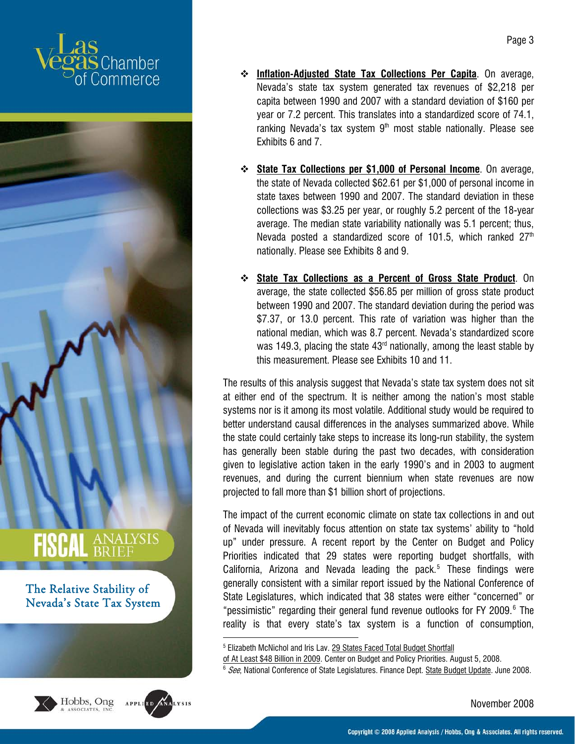



<span id="page-3-1"></span><span id="page-3-0"></span>



.

- **Inflation-Adjusted State Tax Collections Per Capita**. On average, Nevada's state tax system generated tax revenues of \$2,218 per capita between 1990 and 2007 with a standard deviation of \$160 per year or 7.2 percent. This translates into a standardized score of 74.1, ranking Nevada's tax system  $9<sup>th</sup>$  most stable nationally. Please see Exhibits 6 and 7.
- **State Tax Collections per \$1,000 of Personal Income**. On average, the state of Nevada collected \$62.61 per \$1,000 of personal income in state taxes between 1990 and 2007. The standard deviation in these collections was \$3.25 per year, or roughly 5.2 percent of the 18-year average. The median state variability nationally was 5.1 percent; thus, Nevada posted a standardized score of 101.5, which ranked  $27<sup>th</sup>$ nationally. Please see Exhibits 8 and 9.
- **State Tax Collections as a Percent of Gross State Product**. On average, the state collected \$56.85 per million of gross state product between 1990 and 2007. The standard deviation during the period was \$7.37, or 13.0 percent. This rate of variation was higher than the national median, which was 8.7 percent. Nevada's standardized score was 149.3, placing the state  $43<sup>rd</sup>$  nationally, among the least stable by this measurement. Please see Exhibits 10 and 11.

The results of this analysis suggest that Nevada's state tax system does not sit at either end of the spectrum. It is neither among the nation's most stable systems nor is it among its most volatile. Additional study would be required to better understand causal differences in the analyses summarized above. While the state could certainly take steps to increase its long-run stability, the system has generally been stable during the past two decades, with consideration given to legislative action taken in the early 1990's and in 2003 to augment revenues, and during the current biennium when state revenues are now projected to fall more than \$1 billion short of projections.

The impact of the current economic climate on state tax collections in and out of Nevada will inevitably focus attention on state tax systems' ability to "hold up" under pressure. A recent report by the Center on Budget and Policy Priorities indicated that 29 states were reporting budget shortfalls, with California, Arizona and Nevada leading the pack.<sup>[5](#page-3-0)</sup> These findings were generally consistent with a similar report issued by the National Conference of State Legislatures, which indicated that 38 states were either "concerned" or "pessimistic" regarding their general fund revenue outlooks for FY 2009.<sup>[6](#page-3-1)</sup> The reality is that every state's tax system is a function of consumption,

<sup>&</sup>lt;sup>5</sup> Elizabeth McNichol and Iris Lav. <u>29 States Faced Total Budget Shortfall</u>

of At Least \$48 Billion in 2009. Center on Budget and Policy Priorities. August 5, 2008.<br><sup>6</sup> See, National Conference of State Legislatures. Finance Dept. <u>State Budget Update</u>. June 2008.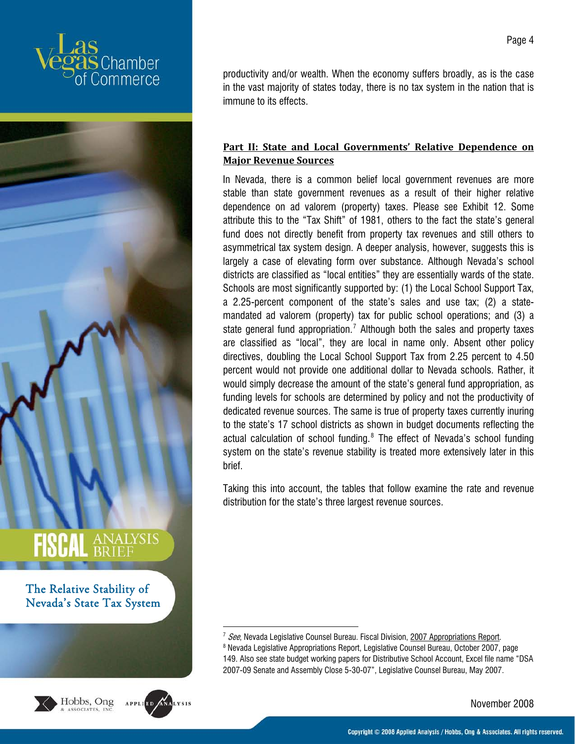



<span id="page-4-1"></span><span id="page-4-0"></span>



1

productivity and/or wealth. When the economy suffers broadly, as is the case in the vast majority of states today, there is no tax system in the nation that is immune to its effects.

#### **Part II: State and Local Governments' Relative Dependence on Major Revenue Sources**

In Nevada, there is a common belief local government revenues are more stable than state government revenues as a result of their higher relative dependence on ad valorem (property) taxes. Please see Exhibit 12. Some attribute this to the "Tax Shift" of 1981, others to the fact the state's general fund does not directly benefit from property tax revenues and still others to asymmetrical tax system design. A deeper analysis, however, suggests this is largely a case of elevating form over substance. Although Nevada's school districts are classified as "local entities" they are essentially wards of the state. Schools are most significantly supported by: (1) the Local School Support Tax, a 2.25-percent component of the state's sales and use tax; (2) a statemandated ad valorem (property) tax for public school operations; and (3) a state general fund appropriation.<sup>[7](#page-4-0)</sup> Although both the sales and property taxes are classified as "local", they are local in name only. Absent other policy directives, doubling the Local School Support Tax from 2.25 percent to 4.50 percent would not provide one additional dollar to Nevada schools. Rather, it would simply decrease the amount of the state's general fund appropriation, as funding levels for schools are determined by policy and not the productivity of dedicated revenue sources. The same is true of property taxes currently inuring to the state's 17 school districts as shown in budget documents reflecting the actual calculation of school funding.<sup>[8](#page-4-1)</sup> The effect of Nevada's school funding system on the state's revenue stability is treated more extensively later in this brief.

Taking this into account, the tables that follow examine the rate and revenue distribution for the state's three largest revenue sources.

<sup>&</sup>lt;sup>7</sup> See, Nevada Legislative Counsel Bureau. Fiscal Division, 2007 Appropriations Report.

<sup>&</sup>lt;sup>8</sup> Nevada Legislative Appropriations Report, Legislative Counsel Bureau, October 2007, page 149. Also see state budget working papers for Distributive School Account, Excel file name "DSA 2007-09 Senate and Assembly Close 5-30-07", Legislative Counsel Bureau, May 2007.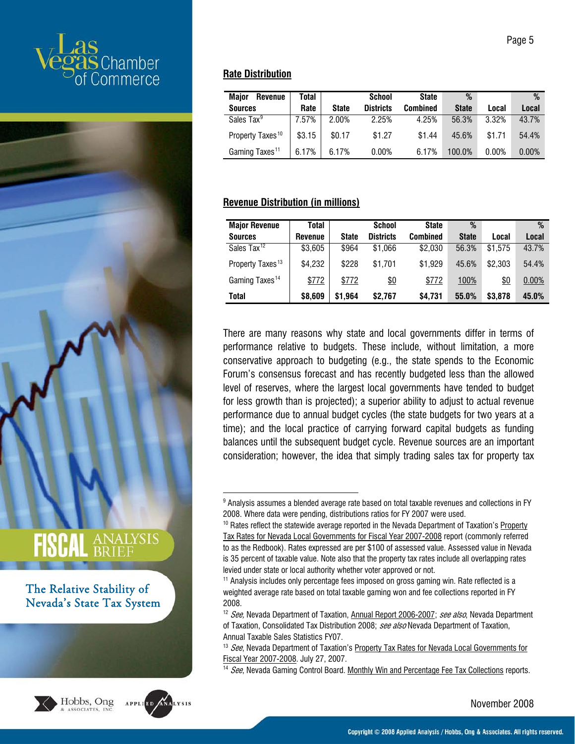



<span id="page-5-5"></span><span id="page-5-4"></span><span id="page-5-3"></span><span id="page-5-2"></span><span id="page-5-1"></span><span id="page-5-0"></span>



#### **Rate Distribution**

1

| <b>Maior</b><br><b>Revenue</b> | Total  |              | School           | <b>State</b> | %            |          | %        |
|--------------------------------|--------|--------------|------------------|--------------|--------------|----------|----------|
| <b>Sources</b>                 | Rate   | <b>State</b> | <b>Districts</b> | Combined     | <b>State</b> | Local    | Local    |
| Sales Tax <sup>9</sup>         | 7.57%  | 2.00%        | 2.25%            | 4.25%        | 56.3%        | 3.32%    | 43.7%    |
| Property Taxes <sup>10</sup>   | \$3.15 | \$0.17       | \$1.27           | \$1.44       | 45.6%        | \$1.71   | 54.4%    |
| Gaming Taxes <sup>11</sup>     | 6.17%  | 6.17%        | 0.00%            | 6.17%        | 100.0%       | $0.00\%$ | $0.00\%$ |

#### **Revenue Distribution (in millions)**

| <b>Major Revenue</b>         | Total   |              | <b>School</b>    | <b>State</b> | %            |            | %     |
|------------------------------|---------|--------------|------------------|--------------|--------------|------------|-------|
| <b>Sources</b>               | Revenue | <b>State</b> | <b>Districts</b> | Combined     | <b>State</b> | Local      | Local |
| Sales Tax <sup>12</sup>      | \$3,605 | \$964        | \$1.066          | \$2,030      | 56.3%        | \$1,575    | 43.7% |
| Property Taxes <sup>13</sup> | \$4,232 | \$228        | \$1.701          | \$1,929      | 45.6%        | \$2,303    | 54.4% |
| Gaming Taxes <sup>14</sup>   | \$772   | \$772        | <u>\$0</u>       | \$772        | 100%         | <u>\$0</u> | 0.00% |
| Total                        | \$8,609 | \$1,964      | \$2.767          | \$4.731      | 55.0%        | \$3,878    | 45.0% |

There are many reasons why state and local governments differ in terms of performance relative to budgets. These include, without limitation, a more conservative approach to budgeting (e.g., the state spends to the Economic Forum's consensus forecast and has recently budgeted less than the allowed level of reserves, where the largest local governments have tended to budget for less growth than is projected); a superior ability to adjust to actual revenue performance due to annual budget cycles (the state budgets for two years at a time); and the local practice of carrying forward capital budgets as funding balances until the subsequent budget cycle. Revenue sources are an important consideration; however, the idea that simply trading sales tax for property tax

 $^9$  Analysis assumes a blended average rate based on total taxable revenues and collections in FY 2008. Where data were pending, distributions ratios for FY 2007 were used.

<sup>&</sup>lt;sup>10</sup> Rates reflect the statewide average reported in the Nevada Department of Taxation's Property Tax Rates for Nevada Local Governments for Fiscal Year 2007-2008 report (commonly referred to as the Redbook). Rates expressed are per \$100 of assessed value. Assessed value in Nevada is 35 percent of taxable value. Note also that the property tax rates include all overlapping rates levied under state or local authority whether voter approved or not.<br><sup>11</sup> Analysis includes only percentage fees imposed on gross gaming win. Rate reflected is a

weighted average rate based on total taxable gaming won and fee collections reported in FY 2008.

<sup>&</sup>lt;sup>12</sup> See, Nevada Department of Taxation, Annual Report 2006-2007; see also, Nevada Department of Taxation, Consolidated Tax Distribution 2008; see also Nevada Department of Taxation, Annual Taxable Sales Statistics FY07.

 $13$  *See*, Nevada Department of Taxation's Property Tax Rates for Nevada Local Governments for Fiscal Year 2007-2008. July 27, 2007.<br><sup>14</sup> See, Nevada Gaming Control Board. Monthly Win and Percentage Fee Tax Collections reports.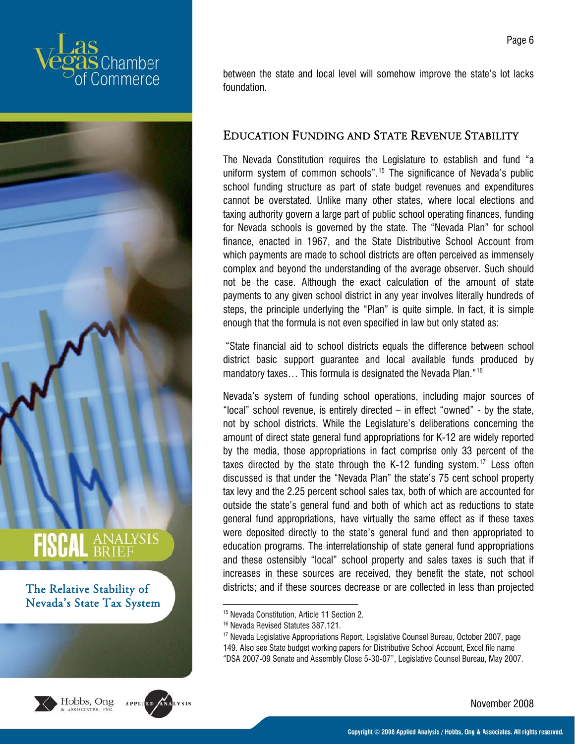



<span id="page-6-2"></span><span id="page-6-1"></span><span id="page-6-0"></span>



between the state and local level will somehow improve the state's lot lacks foundation.

#### EDUCATION FUNDING AND STATE REVENUE STABILITY

The Nevada Constitution requires the Legislature to establish and fund "a uniform system of common schools".[15](#page-6-0) The significance of Nevada's public school funding structure as part of state budget revenues and expenditures cannot be overstated. Unlike many other states, where local elections and taxing authority govern a large part of public school operating finances, funding for Nevada schools is governed by the state. The "Nevada Plan" for school finance, enacted in 1967, and the State Distributive School Account from which payments are made to school districts are often perceived as immensely complex and beyond the understanding of the average observer. Such should not be the case. Although the exact calculation of the amount of state payments to any given school district in any year involves literally hundreds of steps, the principle underlying the "Plan" is quite simple. In fact, it is simple enough that the formula is not even specified in law but only stated as:

 "State financial aid to school districts equals the difference between school district basic support guarantee and local available funds produced by mandatory taxes… This formula is designated the Nevada Plan."[16](#page-6-1)

Nevada's system of funding school operations, including major sources of "local" school revenue, is entirely directed – in effect "owned" - by the state, not by school districts. While the Legislature's deliberations concerning the amount of direct state general fund appropriations for K-12 are widely reported by the media, those appropriations in fact comprise only 33 percent of the taxes directed by the state through the K-12 funding system.<sup>[17](#page-6-2)</sup> Less often discussed is that under the "Nevada Plan" the state's 75 cent school property tax levy and the 2.25 percent school sales tax, both of which are accounted for outside the state's general fund and both of which act as reductions to state general fund appropriations, have virtually the same effect as if these taxes were deposited directly to the state's general fund and then appropriated to education programs. The interrelationship of state general fund appropriations and these ostensibly "local" school property and sales taxes is such that if increases in these sources are received, they benefit the state, not school districts; and if these sources decrease or are collected in less than projected

Page 6

<sup>15</sup> Nevada Constitution, Article 11 Section 2.

<sup>16</sup> Nevada Revised Statutes 387.121.

<sup>&</sup>lt;sup>17</sup> Nevada Legislative Appropriations Report, Legislative Counsel Bureau, October 2007, page 149. Also see State budget working papers for Distributive School Account, Excel file name "DSA 2007-09 Senate and Assembly Close 5-30-07", Legislative Counsel Bureau, May 2007.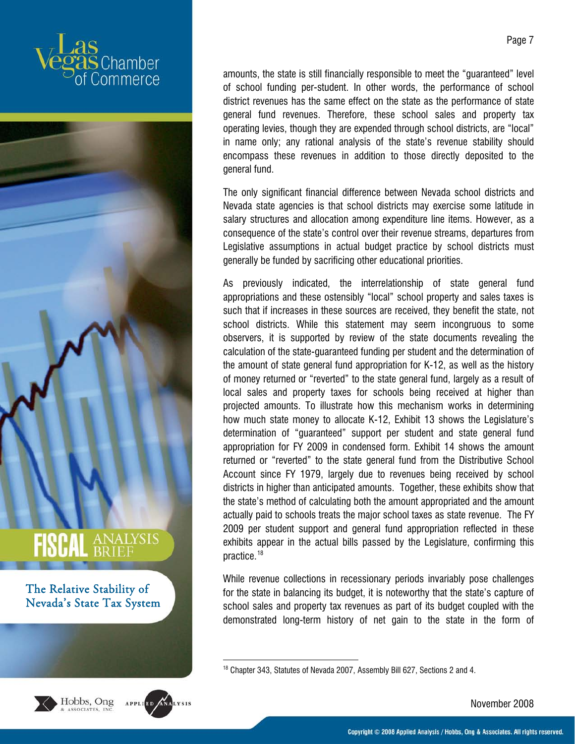



<span id="page-7-0"></span>



1

amounts, the state is still financially responsible to meet the "guaranteed" level of school funding per-student. In other words, the performance of school district revenues has the same effect on the state as the performance of state general fund revenues. Therefore, these school sales and property tax operating levies, though they are expended through school districts, are "local" in name only; any rational analysis of the state's revenue stability should encompass these revenues in addition to those directly deposited to the general fund.

The only significant financial difference between Nevada school districts and Nevada state agencies is that school districts may exercise some latitude in salary structures and allocation among expenditure line items. However, as a consequence of the state's control over their revenue streams, departures from Legislative assumptions in actual budget practice by school districts must generally be funded by sacrificing other educational priorities.

As previously indicated, the interrelationship of state general fund appropriations and these ostensibly "local" school property and sales taxes is such that if increases in these sources are received, they benefit the state, not school districts. While this statement may seem incongruous to some observers, it is supported by review of the state documents revealing the calculation of the state-guaranteed funding per student and the determination of the amount of state general fund appropriation for K-12, as well as the history of money returned or "reverted" to the state general fund, largely as a result of local sales and property taxes for schools being received at higher than projected amounts. To illustrate how this mechanism works in determining how much state money to allocate K-12, Exhibit 13 shows the Legislature's determination of "guaranteed" support per student and state general fund appropriation for FY 2009 in condensed form. Exhibit 14 shows the amount returned or "reverted" to the state general fund from the Distributive School Account since FY 1979, largely due to revenues being received by school districts in higher than anticipated amounts. Together, these exhibits show that the state's method of calculating both the amount appropriated and the amount actually paid to schools treats the major school taxes as state revenue. The FY 2009 per student support and general fund appropriation reflected in these exhibits appear in the actual bills passed by the Legislature, confirming this practice.[18](#page-7-0)

While revenue collections in recessionary periods invariably pose challenges for the state in balancing its budget, it is noteworthy that the state's capture of school sales and property tax revenues as part of its budget coupled with the demonstrated long-term history of net gain to the state in the form of

November 2008

<sup>&</sup>lt;sup>18</sup> Chapter 343, Statutes of Nevada 2007, Assembly Bill 627, Sections 2 and 4.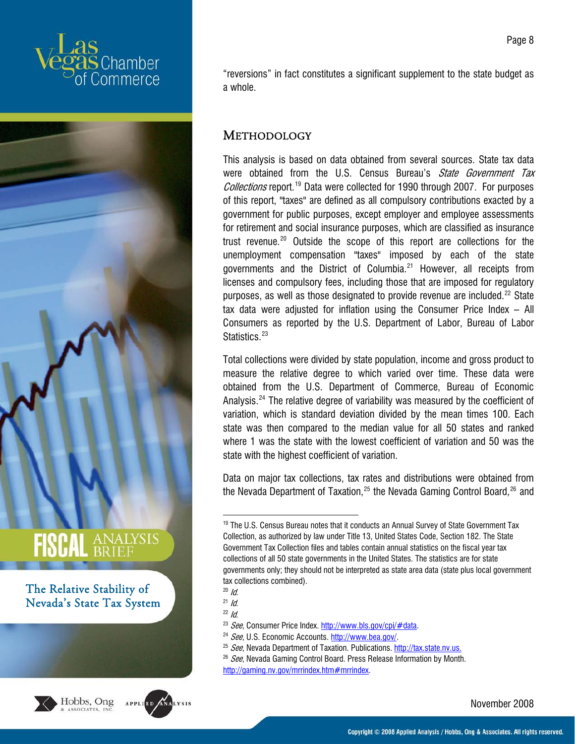



<span id="page-8-7"></span><span id="page-8-6"></span><span id="page-8-5"></span><span id="page-8-4"></span><span id="page-8-3"></span><span id="page-8-2"></span><span id="page-8-1"></span><span id="page-8-0"></span>



"reversions" in fact constitutes a significant supplement to the state budget as a whole.

Page 8

#### METHODOLOGY

This analysis is based on data obtained from several sources. State tax data were obtained from the U.S. Census Bureau's State Government Tax Collections report.<sup>[19](#page-8-0)</sup> Data were collected for 1990 through 2007. For purposes of this report, "taxes" are defined as all compulsory contributions exacted by a government for public purposes, except employer and employee assessments for retirement and social insurance purposes, which are classified as insurance trust revenue.[20](#page-8-1) Outside the scope of this report are collections for the unemployment compensation "taxes" imposed by each of the state governments and the District of Columbia.<sup>[21](#page-8-2)</sup> However, all receipts from licenses and compulsory fees, including those that are imposed for regulatory purposes, as well as those designated to provide revenue are included.<sup>[22](#page-8-3)</sup> State tax data were adjusted for inflation using the Consumer Price Index – All Consumers as reported by the U.S. Department of Labor, Bureau of Labor Statistics.<sup>[23](#page-8-4)</sup>

Total collections were divided by state population, income and gross product to measure the relative degree to which varied over time. These data were obtained from the U.S. Department of Commerce, Bureau of Economic Analysis.<sup>[24](#page-8-5)</sup> The relative degree of variability was measured by the coefficient of variation, which is standard deviation divided by the mean times 100. Each state was then compared to the median value for all 50 states and ranked where 1 was the state with the lowest coefficient of variation and 50 was the state with the highest coefficient of variation.

Data on major tax collections, tax rates and distributions were obtained from the Nevada Department of Taxation, $25$  the Nevada Gaming Control Board, $26$  and

.

November 2008

<sup>&</sup>lt;sup>19</sup> The U.S. Census Bureau notes that it conducts an Annual Survey of State Government Tax Collection, as authorized by law under Title 13, United States Code, Section 182. The State Government Tax Collection files and tables contain annual statistics on the fiscal year tax collections of all 50 state governments in the United States. The statistics are for state governments only; they should not be interpreted as state area data (state plus local government tax collections combined).

<sup>&</sup>lt;sup>20</sup> *Id.*<br><sup>21</sup> *Id.*<br><sup>22</sup> *See*, Consumer Price Index. <u>http://www.bls.gov/cpi/#data</u>.<br><sup>24</sup> *See*, U.S. Economic Accounts. <u>http://www.bea.gov/</u>.<br><sup>25</sup> *See*, Nevada Department of Taxation. Publications. http://tax.state.

 $26$  See, Nevada Gaming Control Board. Press Release Information by Month. [http://gaming.nv.gov/mrrindex.htm#mrrindex.](http://gaming.nv.gov/mrrindex.htm#mrrindex)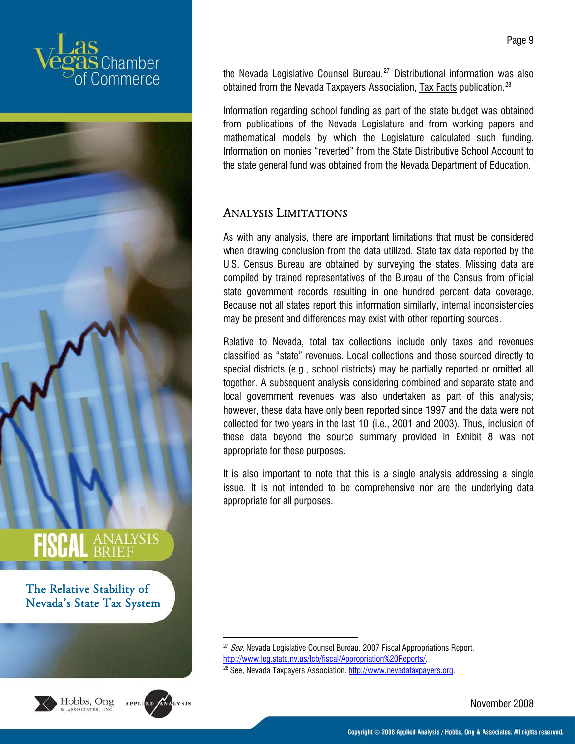



<span id="page-9-1"></span><span id="page-9-0"></span>



the Nevada Legislative Counsel Bureau.<sup>[27](#page-9-0)</sup> Distributional information was also obtained from the Nevada Taxpayers Association, Tax Facts publication.<sup>[28](#page-9-1)</sup>

Information regarding school funding as part of the state budget was obtained from publications of the Nevada Legislature and from working papers and mathematical models by which the Legislature calculated such funding. Information on monies "reverted" from the State Distributive School Account to the state general fund was obtained from the Nevada Department of Education.

#### ANALYSIS LIMITATIONS

As with any analysis, there are important limitations that must be considered when drawing conclusion from the data utilized. State tax data reported by the U.S. Census Bureau are obtained by surveying the states. Missing data are compiled by trained representatives of the Bureau of the Census from official state government records resulting in one hundred percent data coverage. Because not all states report this information similarly, internal inconsistencies may be present and differences may exist with other reporting sources.

Relative to Nevada, total tax collections include only taxes and revenues classified as "state" revenues. Local collections and those sourced directly to special districts (e.g., school districts) may be partially reported or omitted all together. A subsequent analysis considering combined and separate state and local government revenues was also undertaken as part of this analysis; however, these data have only been reported since 1997 and the data were not collected for two years in the last 10 (i.e., 2001 and 2003). Thus, inclusion of these data beyond the source summary provided in Exhibit 8 was not appropriate for these purposes.

It is also important to note that this is a single analysis addressing a single issue. It is not intended to be comprehensive nor are the underlying data appropriate for all purposes.

November 2008

<sup>.</sup> <sup>27</sup> See, Nevada Legislative Counsel Bureau. 2007 Fiscal Appropriations Report. <http://www.leg.state.nv.us/lcb/fiscal/Appropriation%20Reports/>.<br><sup>28</sup> See, Nevada Taxpayers Association. [http://www.nevadataxpayers.org.](http://www.nevadataxpayers.org/)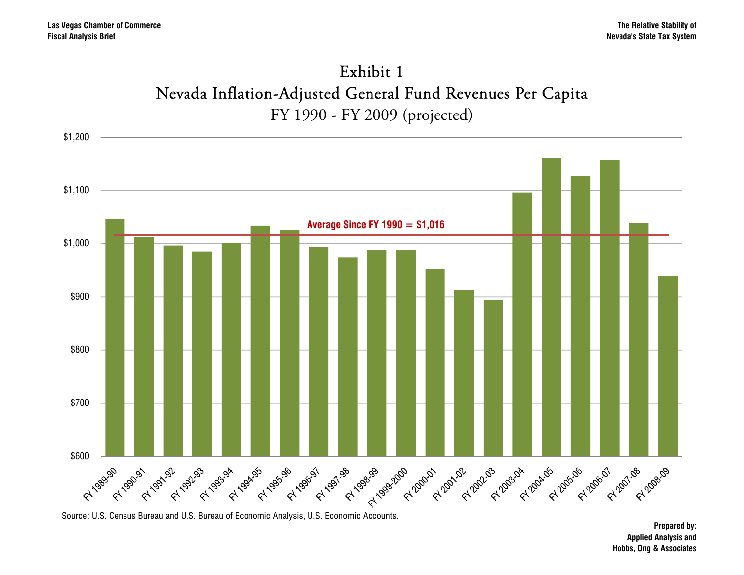

Exhibit 1

Source: U.S. Census Bureau and U.S. Bureau of Economic Analysis, U.S. Economic Accounts.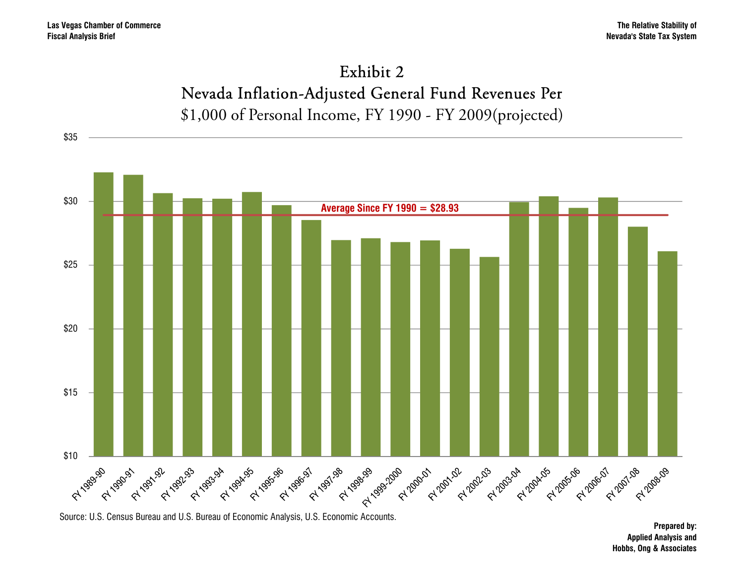\$35





Source: U.S. Census Bureau and U.S. Bureau of Economic Analysis, U.S. Economic Accounts.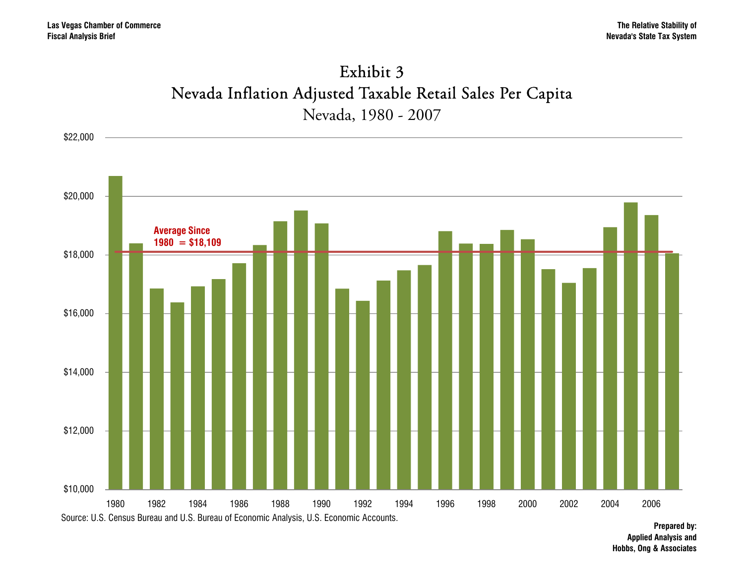

Exhibit 3

Source: U.S. Census Bureau and U.S. Bureau of Economic Analysis, U.S. Economic Accounts.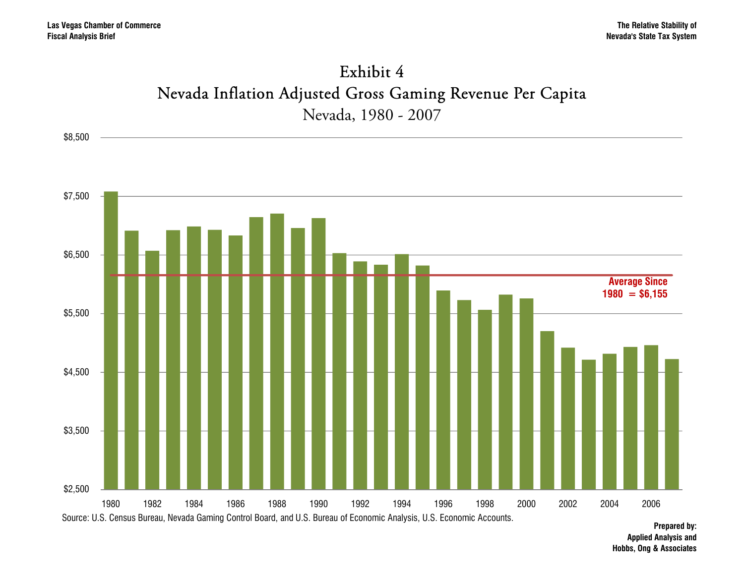

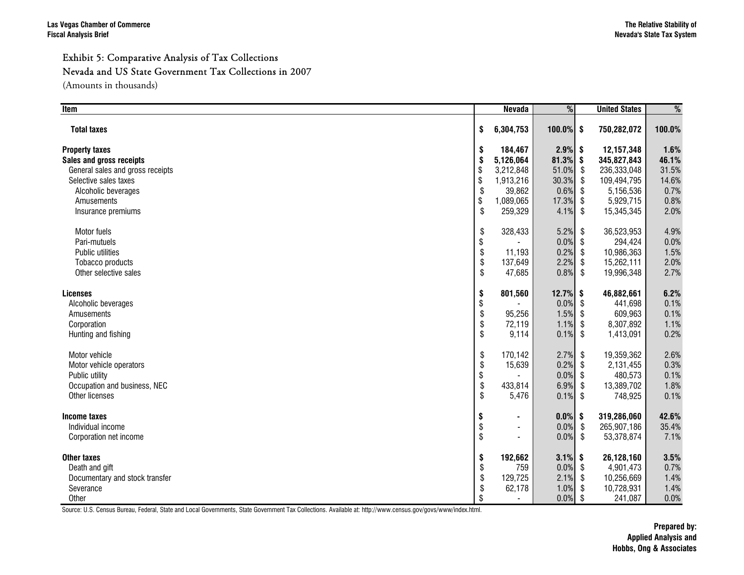#### Exhibit 5: Comparative Analysis of Tax Collections Nevada and US State Government Tax Collections in 2007

(Amounts in thousands)

| Item                             |                           | <b>Nevada</b>            | %            |     | <b>United States</b> | %      |
|----------------------------------|---------------------------|--------------------------|--------------|-----|----------------------|--------|
| <b>Total taxes</b>               | \$                        | 6,304,753                | $100.0\%$ \$ |     | 750,282,072          | 100.0% |
| <b>Property taxes</b>            | \$                        | 184,467                  | $2.9\%$ \$   |     | 12,157,348           | 1.6%   |
| Sales and gross receipts         | \$                        | 5,126,064                | $81.3\%$ \$  |     | 345,827,843          | 46.1%  |
| General sales and gross receipts | \$                        | 3,212,848                | 51.0% \$     |     | 236,333,048          | 31.5%  |
| Selective sales taxes            | \$                        | 1,913,216                | 30.3%        | -\$ | 109,494,795          | 14.6%  |
| Alcoholic beverages              | \$                        | 39,862                   | $0.6\%$ \$   |     | 5,156,536            | 0.7%   |
| Amusements                       | \$                        | 1,089,065                | 17.3%        | \$  | 5,929,715            | 0.8%   |
| Insurance premiums               | \$                        | 259,329                  | $4.1\%$ \$   |     | 15,345,345           | 2.0%   |
| Motor fuels                      | \$                        | 328,433                  | 5.2%         | \$  | 36,523,953           | 4.9%   |
| Pari-mutuels                     | \$                        |                          | $0.0\%$ \$   |     | 294,424              | 0.0%   |
| Public utilities                 | \$                        | 11,193                   | $0.2\%$ \$   |     | 10,986,363           | 1.5%   |
| Tobacco products                 | \$                        | 137,649                  | 2.2%         | \$  | 15,262,111           | 2.0%   |
| Other selective sales            | \$                        | 47,685                   | $0.8\%$ \$   |     | 19,996,348           | 2.7%   |
| <b>Licenses</b>                  | \$                        | 801,560                  | $12.7%$ \$   |     | 46,882,661           | 6.2%   |
| Alcoholic beverages              | \$                        |                          | $0.0\%$ \$   |     | 441.698              | 0.1%   |
| Amusements                       | \$                        | 95,256                   | $1.5\%$ \$   |     | 609,963              | 0.1%   |
| Corporation                      | \$                        | 72,119                   | 1.1%         | \$  | 8,307,892            | 1.1%   |
| Hunting and fishing              | \$                        | 9,114                    | $0.1\%$ \$   |     | 1,413,091            | 0.2%   |
| Motor vehicle                    | \$                        | 170,142                  | 2.7%         | \$  | 19,359,362           | 2.6%   |
| Motor vehicle operators          | \$                        | 15,639                   | $0.2\%$ \$   |     | 2,131,455            | 0.3%   |
| Public utility                   | \$                        |                          | $0.0\%$ \$   |     | 480,573              | 0.1%   |
| Occupation and business, NEC     | \$                        | 433,814                  | 6.9% \$      |     | 13,389,702           | 1.8%   |
| Other licenses                   | \$                        | 5,476                    | $0.1\%$ \$   |     | 748,925              | 0.1%   |
| Income taxes                     | \$                        | $\blacksquare$           | $0.0\%$ \$   |     | 319,286,060          | 42.6%  |
| Individual income                | \$                        | $\overline{\phantom{a}}$ | $0.0\%$ \$   |     | 265,907,186          | 35.4%  |
| Corporation net income           | $\boldsymbol{\mathsf{S}}$ |                          | $0.0\%$ \$   |     | 53,378,874           | 7.1%   |
| <b>Other taxes</b>               | \$                        | 192,662                  | $3.1\%$ \$   |     | 26,128,160           | 3.5%   |
| Death and gift                   | \$                        | 759                      | $0.0\%$ \$   |     | 4,901,473            | 0.7%   |
| Documentary and stock transfer   | \$                        | 129,725                  | $2.1\%$ \$   |     | 10,256,669           | 1.4%   |
| Severance                        | \$                        | 62,178                   | 1.0%         | \$  | 10,728,931           | 1.4%   |
| Other                            | \$                        |                          | 0.0%         | \$  | 241,087              | 0.0%   |

Source: U.S. Census Bureau, Federal, State and Local Governments, State Government Tax Collections. Available at: http://www.census.gov/govs/www/index.html.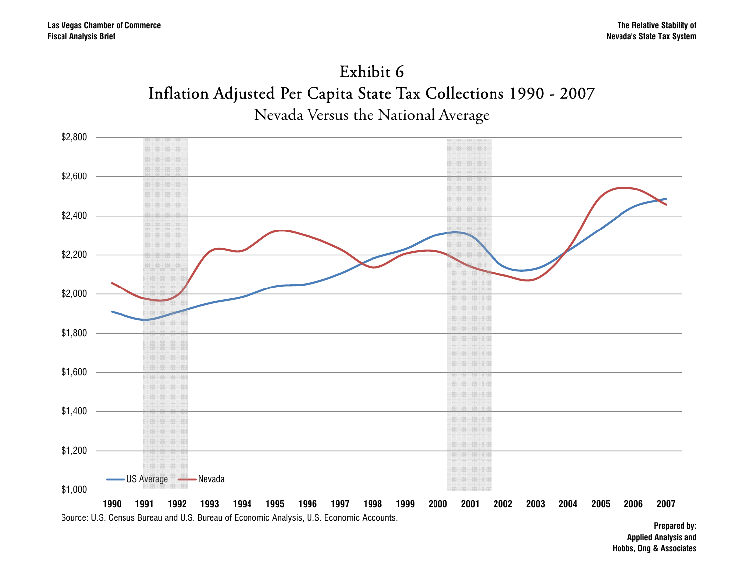# Exhibit 6Inflation Adjusted Per Capita State Tax Collections 1990 - 2007



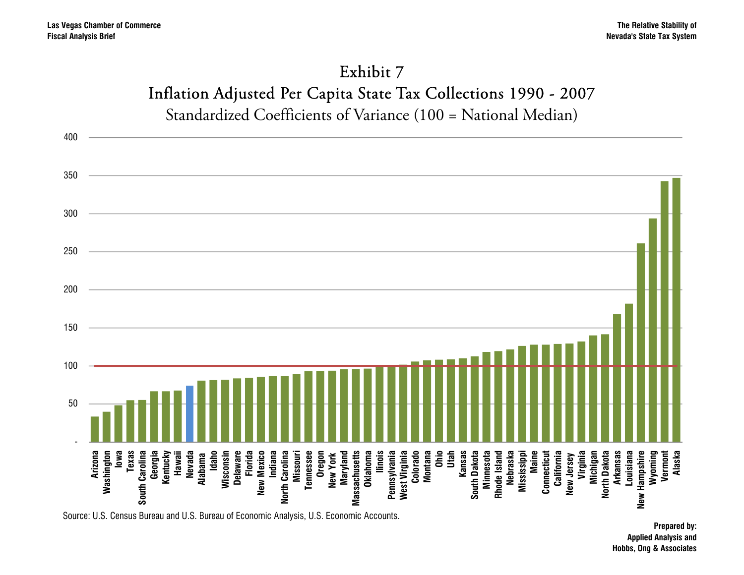## Exhibit 7 Inflation Adjusted Per Capita State Tax Collections 1990 - 2007 Standardized Coefficients of Variance (100 = National Median)

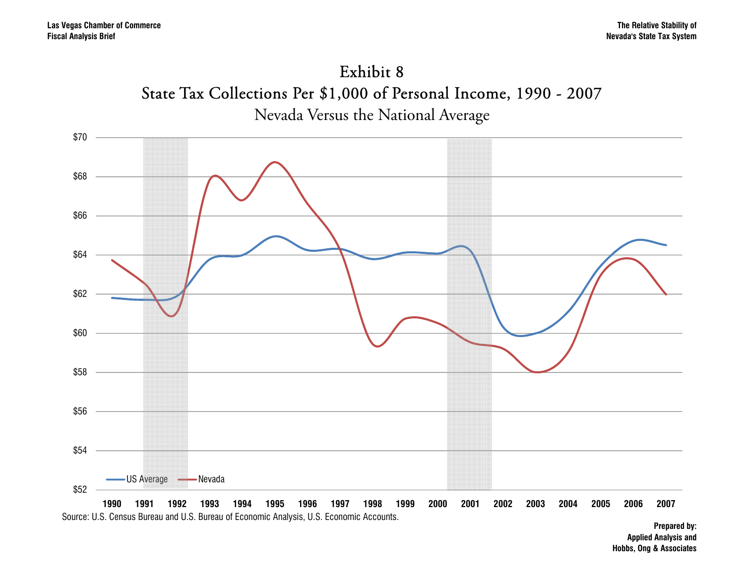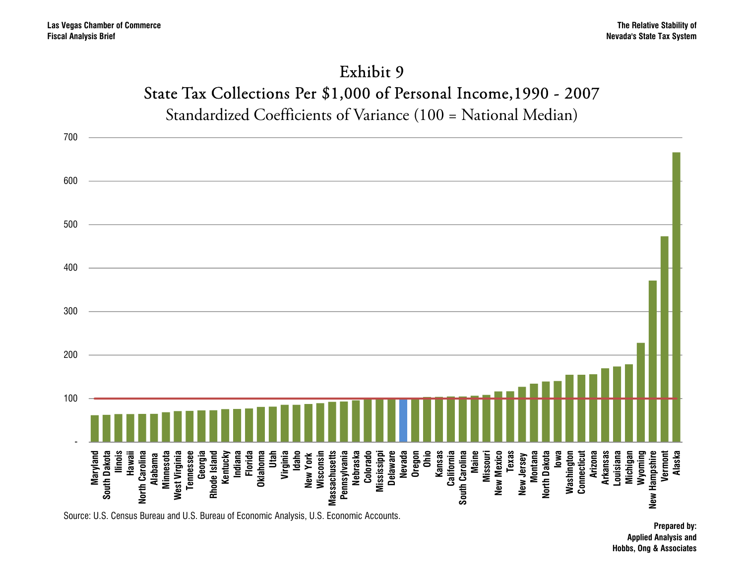# Exhibit 9 State Tax Collections Per \$1,000 of Personal Income,1990 - 2007

Standardized Coefficients of Variance (100 = National Median)

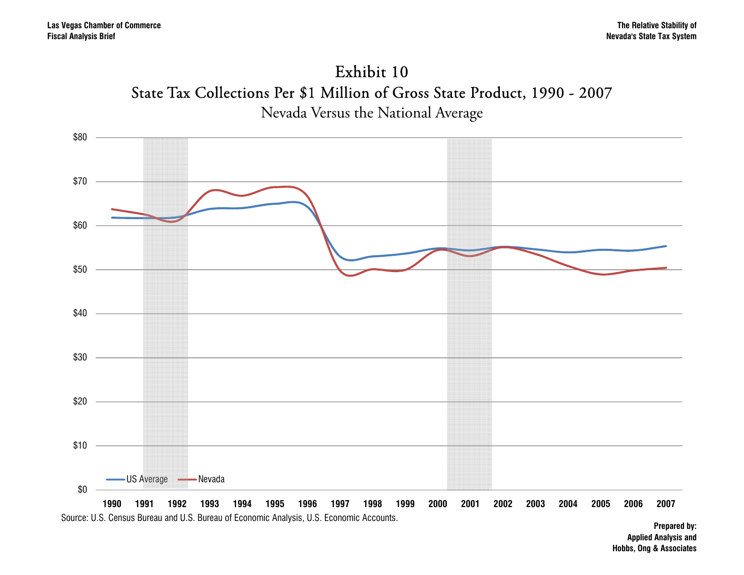



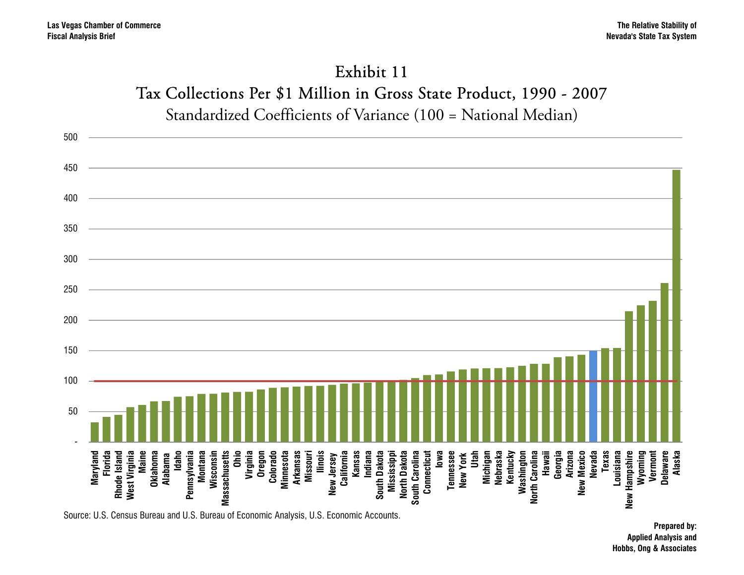### Exhibit 11Tax Collections Per \$1 Million in Gross State Product, 1990 - 2007 Standardized Coefficients of Variance (100 = National Median)

500 450 400 350 300 250 200 150 100 50 -**Maine Oklahoma Montana Virginia Oregon Colorado Ilinois Michigan Nebraska Kentucky Georgia Nevada Texas Vermont Delaware Maryland** West Virginia **Idaho** Pennsylvania Wisconsin **Massachusetts Ohio Minnesota** South Dakota South Carolina **Iowa** Tennessee **New York Utah Washington Hawaii Arizona New Mexico** Hampshire **Alaska** Rhode Island **Pennsylvania Massachusetts Minnesota Arkansas Missouri New Jersey California Kansas Indiana South Dakota** North Dakota **North Dakota South Carolina Connecticut Connecticut Tennessee New York North Carolina New Mexico Louisiana Wyoming Florida Rhode Island West Virginia Alabama Wisconsin** New Jersey **Mississippi New Hampshire** New I Source: U.S. Census Bureau and U.S. Bureau of Economic Analysis, U.S. Economic Accounts.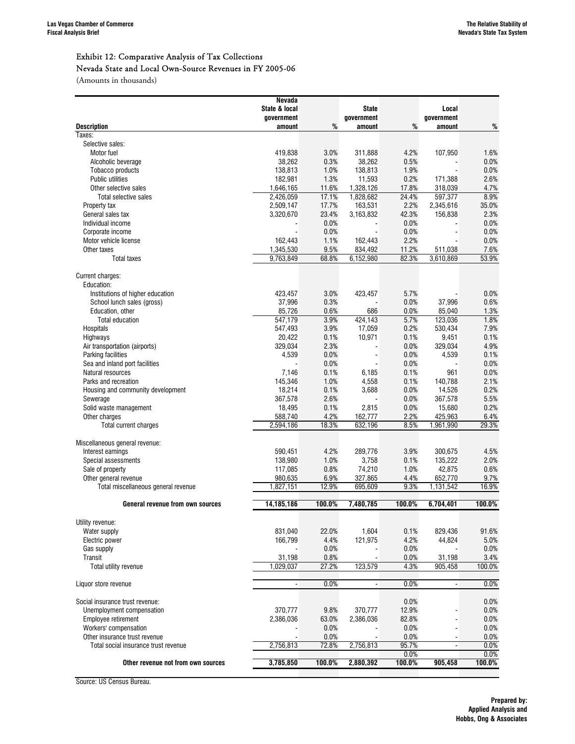#### Exhibit 12: Comparative Analysis of Tax Collections Nevada State and Local Own-Source Revenues in FY 2005-06

(Amounts in thousands)

|                                      | Nevada               |               |                |              |                |               |
|--------------------------------------|----------------------|---------------|----------------|--------------|----------------|---------------|
|                                      | State & local        |               | State          |              | Local          |               |
|                                      | government           |               | government     |              | government     |               |
| <b>Description</b><br>Taxes:         | amount               | %             | amount         | %            | amount         | $\%$          |
| Selective sales:                     |                      |               |                |              |                |               |
| Motor fuel                           | 419,838              | 3.0%          | 311,888        | 4.2%         | 107,950        | 1.6%          |
| Alcoholic beverage                   | 38,262               | 0.3%          | 38.262         | 0.5%         |                | 0.0%          |
| Tobacco products                     | 138,813              | 1.0%          | 138,813        | 1.9%         |                | 0.0%          |
| Public utilities                     | 182,981              | 1.3%          | 11,593         | 0.2%         | 171,388        | 2.6%          |
| Other selective sales                | 1.646.165            | 11.6%         | 1.328.126      | 17.8%        | 318,039        | 4.7%          |
| Total selective sales                | 2,426,059            | 17.1%         | 1,828,682      | 24.4%        | 597,377        | 8.9%          |
| Property tax                         | 2,509,147            | 17.7%         | 163,531        | 2.2%         | 2,345,616      | 35.0%         |
| General sales tax                    | 3,320,670            | 23.4%         | 3,163,832      | 42.3%        | 156,838        | 2.3%          |
| Individual income                    |                      | 0.0%          |                | 0.0%         |                | 0.0%          |
| Corporate income                     |                      | 0.0%          |                | 0.0%         |                | 0.0%          |
| Motor vehicle license                | 162,443              | 1.1%          | 162,443        | 2.2%         |                | 0.0%          |
| Other taxes                          | 1,345,530            | 9.5%          | 834,492        | 11.2%        | 511,038        | 7.6%          |
| <b>Total taxes</b>                   | 9,763,849            | 68.8%         | 6,152,980      | 82.3%        | 3,610,869      | 53.9%         |
| Current charges:                     |                      |               |                |              |                |               |
| Education:                           |                      |               |                |              |                |               |
| Institutions of higher education     | 423,457              | 3.0%          | 423,457        | 5.7%         |                | 0.0%          |
| School lunch sales (gross)           | 37,996               | 0.3%          |                | 0.0%         | 37.996         | 0.6%          |
| Education, other                     | 85,726               | 0.6%          | 686            | 0.0%         | 85,040         | 1.3%          |
| <b>Total education</b>               | 547,179              | 3.9%          | 424,143        | 5.7%         | 123,036        | 1.8%          |
| Hospitals                            | 547,493              | 3.9%          | 17,059         | 0.2%         | 530,434        | 7.9%          |
| Highways                             | 20,422               | 0.1%          | 10,971         | 0.1%         | 9,451          | 0.1%          |
| Air transportation (airports)        | 329,034              | 2.3%          |                | 0.0%         | 329,034        | 4.9%          |
| Parking facilities                   | 4,539                | 0.0%          |                | 0.0%         | 4,539          | 0.1%          |
| Sea and inland port facilities       |                      | 0.0%          |                | 0.0%         |                | 0.0%          |
| Natural resources                    | 7,146                | 0.1%          | 6,185          | 0.1%         | 961            | 0.0%          |
| Parks and recreation                 | 145,346              | 1.0%          | 4,558          | 0.1%         | 140,788        | 2.1%          |
| Housing and community development    | 18,214               | 0.1%          | 3,688          | 0.0%         | 14,526         | 0.2%          |
| Sewerage                             | 367,578              | 2.6%          |                | 0.0%         | 367,578        | 5.5%          |
| Solid waste management               | 18,495               | 0.1%          | 2,815          | 0.0%         | 15,680         | 0.2%          |
| Other charges                        | 588,740<br>2,594,186 | 4.2%<br>18.3% | 162,777        | 2.2%<br>8.5% | 425,963        | 6.4%<br>29.3% |
| Total current charges                |                      |               | 632,196        |              | 1,961,990      |               |
| Miscellaneous general revenue:       |                      |               |                |              |                |               |
| Interest earnings                    | 590,451              | 4.2%          | 289,776        | 3.9%         | 300,675        | 4.5%          |
| Special assessments                  | 138,980              | 1.0%          | 3,758          | 0.1%         | 135,222        | 2.0%          |
| Sale of property                     | 117,085              | 0.8%          | 74,210         | 1.0%         | 42,875         | 0.6%          |
| Other general revenue                | 980,635              | 6.9%          | 327,865        | 4.4%         | 652,770        | 9.7%          |
| Total miscellaneous general revenue  | 1,827,151            | 12.9%         | 695,609        | 9.3%         | 1,131,542      | 16.9%         |
| General revenue from own sources     | 14,185,186           | 100.0%        | 7.480.785      | 100.0%       | 6,704,401      | 100.0%        |
|                                      |                      |               |                |              |                |               |
| Utility revenue:                     |                      |               |                |              |                |               |
| Water supply                         | 831,040              | 22.0%         | 1,604          | 0.1%         | 829,436        | 91.6%         |
| Electric power                       | 166,799              | 4.4%          | 121,975        | 4.2%         | 44,824         | 5.0%          |
| Gas supply                           |                      | 0.0%          |                | 0.0%         |                | 0.0%          |
| Transit                              | 31,198               | 0.8%          | ÷,             | 0.0%         | 31,198         | 3.4%          |
| Total utility revenue                | 1,029,037            | 27.2%         | 123,579        | 4.3%         | 905,458        | 100.0%        |
| Liquor store revenue                 | $\blacksquare$       | 0.0%          | $\blacksquare$ | 0.0%         | ٠              | 0.0%          |
| Social insurance trust revenue:      |                      |               |                | 0.0%         |                | 0.0%          |
| Unemployment compensation            | 370,777              | 9.8%          | 370,777        | 12.9%        |                | 0.0%          |
| Employee retirement                  | 2,386,036            | 63.0%         | 2,386,036      | 82.8%        |                | 0.0%          |
| Workers' compensation                |                      | 0.0%          |                | 0.0%         | $\blacksquare$ | 0.0%          |
| Other insurance trust revenue        |                      | 0.0%          |                | 0.0%         |                | 0.0%          |
| Total social insurance trust revenue | 2,756,813            | 72.8%         | 2,756,813      | 95.7%        | $\blacksquare$ | 0.0%          |
|                                      |                      |               |                | 0.0%         |                | 0.0%          |
| Other revenue not from own sources   | 3,785,850            | 100.0%        | 2,880,392      | 100.0%       | 905,458        | 100.0%        |
|                                      |                      |               |                |              |                |               |

Source: US Census Bureau.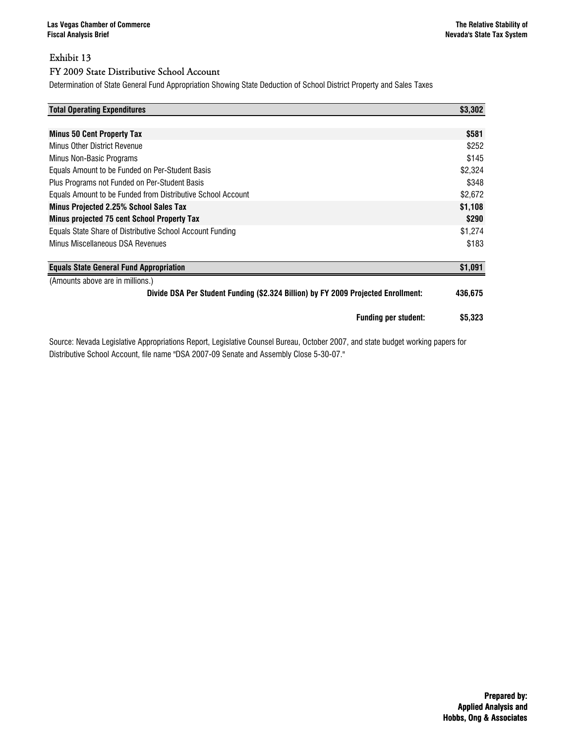#### Exhibit 13 FY 2009 State Distributive School Account

#### Determination of State General Fund Appropriation Showing State Deduction of School District Property and Sales Taxes

| <b>Total Operating Expenditures</b>                                               | \$3,302 |
|-----------------------------------------------------------------------------------|---------|
|                                                                                   |         |
| <b>Minus 50 Cent Property Tax</b>                                                 | \$581   |
| <b>Minus Other District Revenue</b>                                               | \$252   |
| Minus Non-Basic Programs                                                          | \$145   |
| Equals Amount to be Funded on Per-Student Basis                                   | \$2,324 |
| Plus Programs not Funded on Per-Student Basis                                     | \$348   |
| Equals Amount to be Funded from Distributive School Account                       | \$2,672 |
| <b>Minus Projected 2.25% School Sales Tax</b>                                     | \$1,108 |
| <b>Minus projected 75 cent School Property Tax</b>                                | \$290   |
| Equals State Share of Distributive School Account Funding                         | \$1,274 |
| Minus Miscellaneous DSA Revenues                                                  | \$183   |
| <b>Equals State General Fund Appropriation</b>                                    | \$1,091 |
| (Amounts above are in millions.)                                                  |         |
| Divide DSA Per Student Funding (\$2.324 Billion) by FY 2009 Projected Enrollment: | 436,675 |
| <b>Funding per student:</b>                                                       | \$5,323 |

Source: Nevada Legislative Appropriations Report, Legislative Counsel Bureau, October 2007, and state budget working papers for Distributive School Account, file name "DSA 2007-09 Senate and Assembly Close 5-30-07."